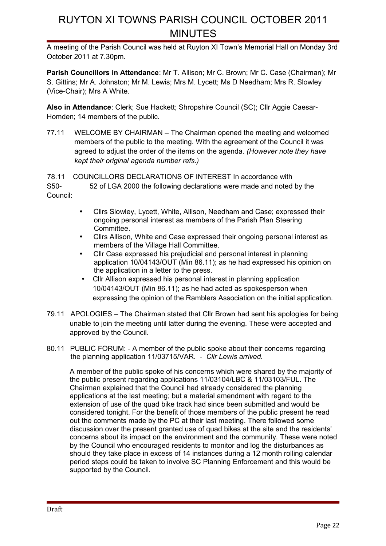A meeting of the Parish Council was held at Ruyton XI Town's Memorial Hall on Monday 3rd October 2011 at 7.30pm.

**Parish Councillors in Attendance**: Mr T. Allison; Mr C. Brown; Mr C. Case (Chairman); Mr S. Gittins; Mr A. Johnston; Mr M. Lewis; Mrs M. Lycett; Ms D Needham; Mrs R. Slowley (Vice-Chair); Mrs A White.

**Also in Attendance**: Clerk; Sue Hackett; Shropshire Council (SC); Cllr Aggie Caesar-Homden; 14 members of the public.

77.11 WELCOME BY CHAIRMAN – The Chairman opened the meeting and welcomed members of the public to the meeting. With the agreement of the Council it was agreed to adjust the order of the items on the agenda*. (However note they have kept their original agenda number refs.)*

78.11 COUNCILLORS DECLARATIONS OF INTEREST In accordance with S50- 52 of LGA 2000 the following declarations were made and noted by the Council:

- Cllrs Slowley, Lycett, White, Allison, Needham and Case; expressed their ongoing personal interest as members of the Parish Plan Steering Committee.
- Cllrs Allison, White and Case expressed their ongoing personal interest as members of the Village Hall Committee.
- Cllr Case expressed his prejudicial and personal interest in planning application 10/04143/OUT (Min 86.11); as he had expressed his opinion on the application in a letter to the press.
- Cllr Allison expressed his personal interest in planning application 10/04143/OUT (Min 86.11); as he had acted as spokesperson when expressing the opinion of the Ramblers Association on the initial application.
- 79.11 APOLOGIES The Chairman stated that Cllr Brown had sent his apologies for being unable to join the meeting until latter during the evening. These were accepted and approved by the Council.
- 80.11 PUBLIC FORUM: A member of the public spoke about their concerns regarding the planning application 11/03715/VAR. - *Cllr Lewis arrived.*

A member of the public spoke of his concerns which were shared by the majority of the public present regarding applications 11/03104/LBC & 11/03103/FUL. The Chairman explained that the Council had already considered the planning applications at the last meeting; but a material amendment with regard to the extension of use of the quad bike track had since been submitted and would be considered tonight. For the benefit of those members of the public present he read out the comments made by the PC at their last meeting. There followed some discussion over the present granted use of quad bikes at the site and the residents' concerns about its impact on the environment and the community. These were noted by the Council who encouraged residents to monitor and log the disturbances as should they take place in excess of 14 instances during a 12 month rolling calendar period steps could be taken to involve SC Planning Enforcement and this would be supported by the Council.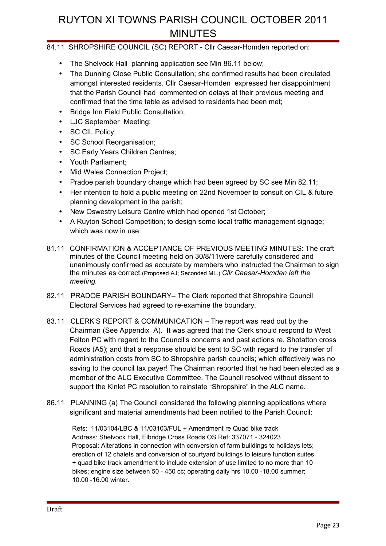### 84.11 SHROPSHIRE COUNCIL (SC) REPORT - Cllr Caesar-Homden reported on:

- The Shelvock Hall planning application see Min 86.11 below;
- The Dunning Close Public Consultation; she confirmed results had been circulated amongst interested residents. Cllr Caesar-Homden expressed her disappointment that the Parish Council had commented on delays at their previous meeting and confirmed that the time table as advised to residents had been met;
- Bridge Inn Field Public Consultation;
- LJC September Meeting;
- SC CIL Policy;
- SC School Reorganisation:
- SC Early Years Children Centres;
- Youth Parliament;
- Mid Wales Connection Project:
- Pradoe parish boundary change which had been agreed by SC see Min 82.11;
- Her intention to hold a public meeting on 22nd November to consult on CIL & future planning development in the parish;
- New Oswestry Leisure Centre which had opened 1st October;
- A Ruyton School Competition; to design some local traffic management signage; which was now in use.
- 81.11 CONFIRMATION & ACCEPTANCE OF PREVIOUS MEETING MINUTES: The draft minutes of the Council meeting held on 30/8/11were carefully considered and unanimously confirmed as accurate by members who instructed the Chairman to sign the minutes as correct.(Proposed AJ; Seconded ML.) *Cllr Caesar-Homden left the meeting.*
- 82.11 PRADOE PARISH BOUNDARY– The Clerk reported that Shropshire Council Electoral Services had agreed to re-examine the boundary.
- 83.11 CLERK'S REPORT & COMMUNICATION The report was read out by the Chairman (See Appendix A). It was agreed that the Clerk should respond to West Felton PC with regard to the Council's concerns and past actions re. Shotatton cross Roads (A5); and that a response should be sent to SC with regard to the transfer of administration costs from SC to Shropshire parish councils; which effectively was no saving to the council tax payer! The Chairman reported that he had been elected as a member of the ALC Executive Committee. The Council resolved without dissent to support the Kinlet PC resolution to reinstate "Shropshire" in the ALC name.
- 86.11 PLANNING (a) The Council considered the following planning applications where significant and material amendments had been notified to the Parish Council:

 Refs: 11/03104/LBC & 11/03103/FUL + Amendment re Quad bike track Address: Shelvock Hall, Elbridge Cross Roads OS Ref: 337071 - 324023 Proposal: Alterations in connection with conversion of farm buildings to holidays lets; erection of 12 chalets and conversion of courtyard buildings to leisure function suites + quad bike track amendment to include extension of use limited to no more than 10 bikes; engine size between 50 - 450 cc; operating daily hrs 10.00 -18.00 summer; 10.00 -16.00 winter.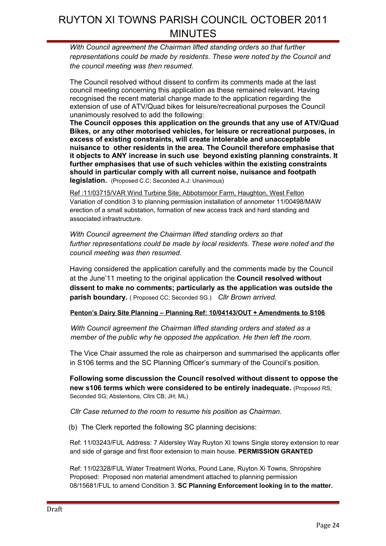*With Council agreement the Chairman lifted standing orders so that further representations could be made by residents. These were noted by the Council and the council meeting was then resumed.*

The Council resolved without dissent to confirm its comments made at the last council meeting concerning this application as these remained relevant. Having recognised the recent material change made to the application regarding the extension of use of ATV/Quad bikes for leisure/recreational purposes the Council unanimously resolved to add the following:

**The Council opposes this application on the grounds that any use of ATV/Quad Bikes, or any other motorised vehicles, for leisure or recreational purposes, in excess of existing constraints, will create intolerable and unacceptable nuisance to other residents in the area. The Council therefore emphasise that it objects to ANY increase in such use beyond existing planning constraints. It further emphasises that use of such vehicles within the existing constraints should in particular comply with all current noise, nuisance and footpath legislation.** (Proposed C.C; Seconded A.J: Unanimous)

Ref :11/03715/VAR Wind Turbine Site; Abbotsmoor Farm, Haughton, West Felton Variation of condition 3 to planning permission installation of annometer 11/00498/MAW erection of a small substation, formation of new access track and hard standing and associated infrastructure.

*With Council agreement the Chairman lifted standing orders so that further representations could be made by local residents. These were noted and the council meeting was then resumed.*

Having considered the application carefully and the comments made by the Council at the June'11 meeting to the original application the **Council resolved without dissent to make no comments; particularly as the application was outside the parish boundary.** ( Proposed CC; Seconded SG.) *Cllr Brown arrived.*

#### **Penton's Dairy Site Planning – Planning Ref: 10/04143/OUT + Amendments to S106**

*With Council agreement the Chairman lifted standing orders and stated as a member of the public why he opposed the application. He then left the room.*

The Vice Chair assumed the role as chairperson and summarised the applicants offer in S106 terms and the SC Planning Officer's summary of the Council's position.

**Following some discussion the Council resolved without dissent to oppose the new s106 terms which were considered to be entirely inadequate.** (Proposed RS; Seconded SG; Abstentions, Cllrs CB; JH; ML)

*Cllr Case returned to the room to resume his position as Chairman.*

(b) The Clerk reported the following SC planning decisions:

Ref: 11/03243/FUL Address: 7 Aldersley Way Ruyton XI towns Single storey extension to rear and side of garage and first floor extension to main house. **PERMISSION GRANTED**

Ref: 11/02328/FUL Water Treatment Works, Pound Lane, Ruyton Xi Towns, Shropshire Proposed: Proposed non material amendment attached to planning permission 08/15681/FUL to amend Condition 3. **SC Planning Enforcement looking in to the matter.**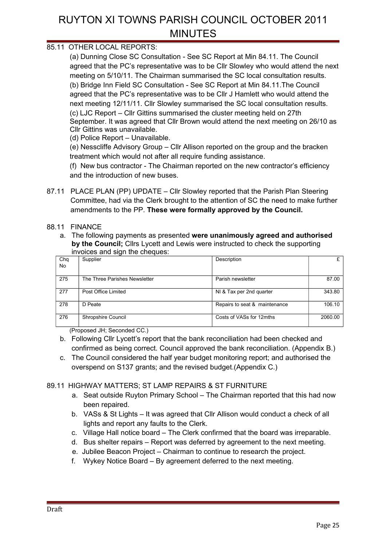### 85.11 OTHER LOCAL REPORTS:

(a) Dunning Close SC Consultation - See SC Report at Min 84.11. The Council agreed that the PC's representative was to be Cllr Slowley who would attend the next meeting on 5/10/11. The Chairman summarised the SC local consultation results. (b) Bridge Inn Field SC Consultation - See SC Report at Min 84.11.The Council agreed that the PC's representative was to be Cllr J Hamlett who would attend the next meeting 12/11/11. Cllr Slowley summarised the SC local consultation results. (c) LJC Report – Cllr Gittins summarised the cluster meeting held on 27th September. It was agreed that Cllr Brown would attend the next meeting on 26/10 as Cllr Gittins was unavailable.

(d) Police Report – Unavailable.

(e) Nesscliffe Advisory Group – Cllr Allison reported on the group and the bracken treatment which would not after all require funding assistance.

(f) New bus contractor - The Chairman reported on the new contractor's efficiency and the introduction of new buses.

87.11 PLACE PLAN (PP) UPDATE – Cllr Slowley reported that the Parish Plan Steering Committee, had via the Clerk brought to the attention of SC the need to make further amendments to the PP. **These were formally approved by the Council.** 

#### 88.11 FINANCE

a. The following payments as presented **were unanimously agreed and authorised by the Council;** Cllrs Lycett and Lewis were instructed to check the supporting invoices and sign the cheques:

| Chq<br>No | Supplier                      | Description                   | £       |
|-----------|-------------------------------|-------------------------------|---------|
| 275       | The Three Parishes Newsletter | Parish newsletter             | 87.00   |
| 277       | Post Office Limited           | NI & Tax per 2nd quarter      | 343.80  |
| 278       | D Peate                       | Repairs to seat & maintenance | 106.10  |
| 276       | Shropshire Council            | Costs of VASs for 12mths      | 2060.00 |

(Proposed JH; Seconded CC.)

- b. Following Cllr Lycett's report that the bank reconciliation had been checked and confirmed as being correct. Council approved the bank reconciliation. (Appendix B.)
- c. The Council considered the half year budget monitoring report; and authorised the overspend on S137 grants; and the revised budget.(Appendix C.)

#### 89.11 HIGHWAY MATTERS; ST LAMP REPAIRS & ST FURNITURE

- a. Seat outside Ruyton Primary School The Chairman reported that this had now been repaired.
- b. VASs & St Lights It was agreed that Cllr Allison would conduct a check of all lights and report any faults to the Clerk.
- c. Village Hall notice board The Clerk confirmed that the board was irreparable.
- d. Bus shelter repairs Report was deferred by agreement to the next meeting.
- e. Jubilee Beacon Project Chairman to continue to research the project.
- f. Wykey Notice Board By agreement deferred to the next meeting.